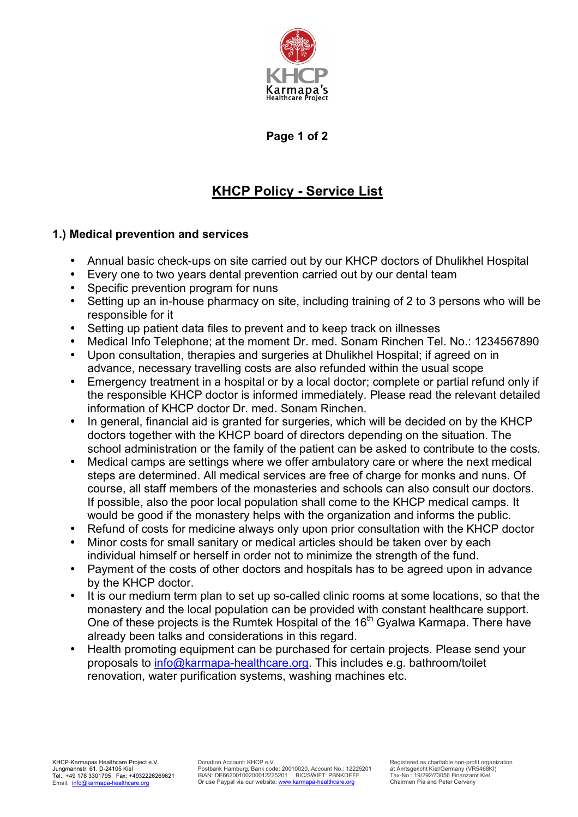

## **Page 1 of 2**

# **KHCP Policy - Service List**

### **1.) Medical prevention and services**

- Annual basic check-ups on site carried out by our KHCP doctors of Dhulikhel Hospital
- Every one to two years dental prevention carried out by our dental team
- Specific prevention program for nuns
- Setting up an in-house pharmacy on site, including training of 2 to 3 persons who will be responsible for it
- Setting up patient data files to prevent and to keep track on illnesses
- Medical Info Telephone; at the moment Dr. med. Sonam Rinchen Tel. No.: 1234567890
- Upon consultation, therapies and surgeries at Dhulikhel Hospital; if agreed on in advance, necessary travelling costs are also refunded within the usual scope
- Emergency treatment in a hospital or by a local doctor; complete or partial refund only if the responsible KHCP doctor is informed immediately. Please read the relevant detailed information of KHCP doctor Dr. med. Sonam Rinchen.
- In general, financial aid is granted for surgeries, which will be decided on by the KHCP doctors together with the KHCP board of directors depending on the situation. The school administration or the family of the patient can be asked to contribute to the costs.
- Medical camps are settings where we offer ambulatory care or where the next medical steps are determined. All medical services are free of charge for monks and nuns. Of course, all staff members of the monasteries and schools can also consult our doctors. If possible, also the poor local population shall come to the KHCP medical camps. It would be good if the monastery helps with the organization and informs the public.
- Refund of costs for medicine always only upon prior consultation with the KHCP doctor
- Minor costs for small sanitary or medical articles should be taken over by each individual himself or herself in order not to minimize the strength of the fund.
- Payment of the costs of other doctors and hospitals has to be agreed upon in advance by the KHCP doctor.
- It is our medium term plan to set up so-called clinic rooms at some locations, so that the monastery and the local population can be provided with constant healthcare support. One of these projects is the Rumtek Hospital of the 16<sup>th</sup> Gyalwa Karmapa. There have already been talks and considerations in this regard.
- Health promoting equipment can be purchased for certain projects. Please send your proposals to info@karmapa-healthcare.org. This includes e.g. bathroom/toilet renovation, water purification systems, washing machines etc.